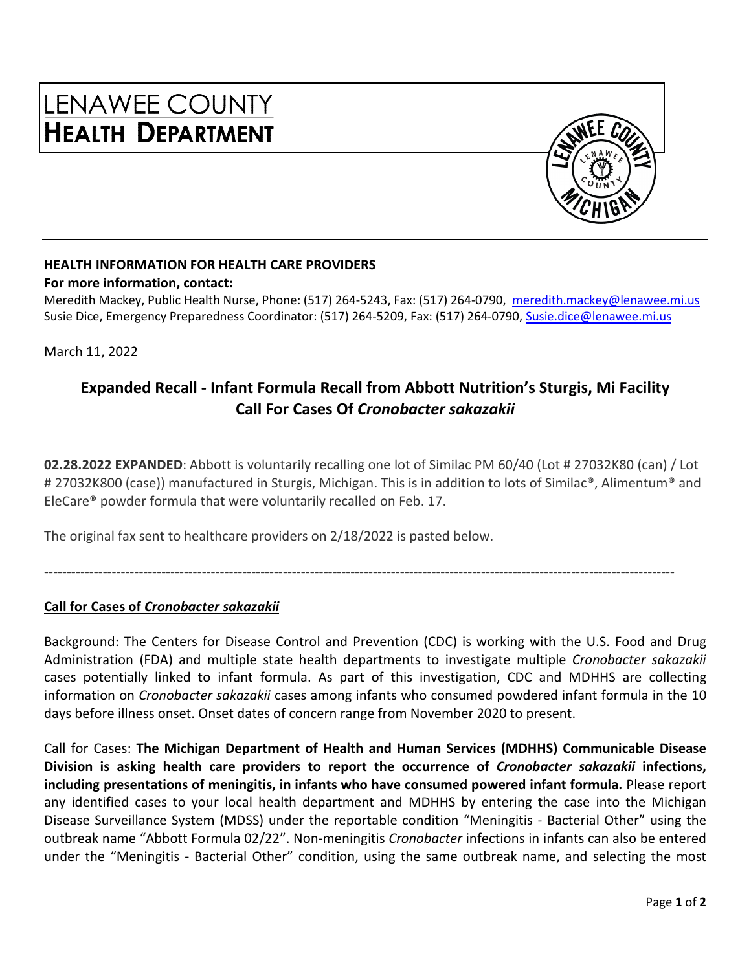

#### **HEALTH INFORMATION FOR HEALTH CARE PROVIDERS**

#### **For more information, contact:**

Meredith Mackey, Public Health Nurse, Phone: (517) 264-5243, Fax: (517) 264-0790, [meredith.mackey@lenawee.mi.us](mailto:meredith.mackey@lenawee.mi.us) Susie Dice, Emergency Preparedness Coordinator: (517) 264-5209, Fax: (517) 264-0790, Susie.dice@lenawee.mi.us

March 11, 2022

# **Expanded Recall - Infant Formula Recall from Abbott Nutrition's Sturgis, Mi Facility Call For Cases Of** *Cronobacter sakazakii*

**02.28.2022 EXPANDED**: Abbott is voluntarily recalling one lot of Similac PM 60/40 (Lot # 27032K80 (can) / Lot # 27032K800 (case)) manufactured in Sturgis, Michigan. This is in addition to lots of Similac®, Alimentum® and EleCare® powder formula that were voluntarily recalled on Feb. 17.

The original fax sent to healthcare providers on 2/18/2022 is pasted below.

--------------------------------------------------------------------------------------------------------------------------------------------

#### **Call for Cases of** *Cronobacter sakazakii*

Background: The Centers for Disease Control and Prevention (CDC) is working with the U.S. Food and Drug Administration (FDA) and multiple state health departments to investigate multiple *Cronobacter sakazakii* cases potentially linked to infant formula. As part of this investigation, CDC and MDHHS are collecting information on *Cronobacter sakazakii* cases among infants who consumed powdered infant formula in the 10 days before illness onset. Onset dates of concern range from November 2020 to present.

Call for Cases: **The Michigan Department of Health and Human Services (MDHHS) Communicable Disease Division is asking health care providers to report the occurrence of** *Cronobacter sakazakii* **infections, including presentations of meningitis, in infants who have consumed powered infant formula.** Please report any identified cases to your local health department and MDHHS by entering the case into the Michigan Disease Surveillance System (MDSS) under the reportable condition "Meningitis - Bacterial Other" using the outbreak name "Abbott Formula 02/22". Non-meningitis *Cronobacter* infections in infants can also be entered under the "Meningitis - Bacterial Other" condition, using the same outbreak name, and selecting the most